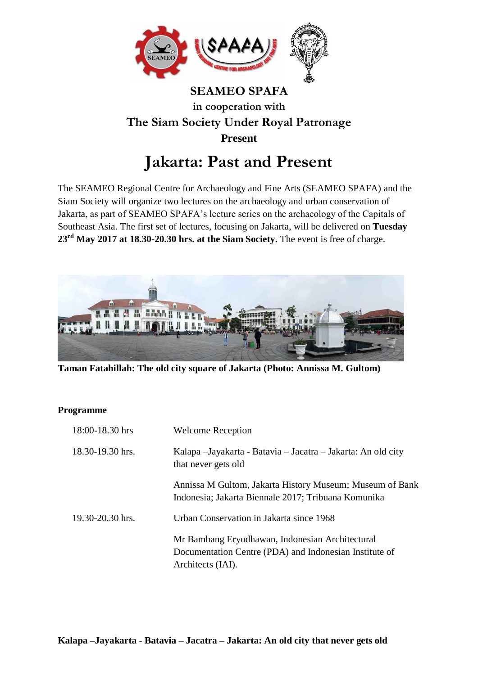

## **SEAMEO SPAFA in cooperation with The Siam Society Under Royal Patronage Present**

## **Jakarta: Past and Present**

The SEAMEO Regional Centre for Archaeology and Fine Arts (SEAMEO SPAFA) and the Siam Society will organize two lectures on the archaeology and urban conservation of Jakarta, as part of SEAMEO SPAFA's lecture series on the archaeology of the Capitals of Southeast Asia. The first set of lectures, focusing on Jakarta, will be delivered on **Tuesday 23rd May 2017 at 18.30-20.30 hrs. at the Siam Society.** The event is free of charge.



**Taman Fatahillah: The old city square of Jakarta (Photo: Annissa M. Gultom)**

## **Programme**

| 18:00-18.30 hrs      | <b>Welcome Reception</b>                                                                                                       |
|----------------------|--------------------------------------------------------------------------------------------------------------------------------|
| 18.30-19.30 hrs.     | Kalapa - Jayakarta - Batavia - Jacatra - Jakarta: An old city<br>that never gets old                                           |
|                      | Annissa M Gultom, Jakarta History Museum; Museum of Bank<br>Indonesia; Jakarta Biennale 2017; Tribuana Komunika                |
| $19.30 - 20.30$ hrs. | Urban Conservation in Jakarta since 1968                                                                                       |
|                      | Mr Bambang Eryudhawan, Indonesian Architectural<br>Documentation Centre (PDA) and Indonesian Institute of<br>Architects (IAI). |